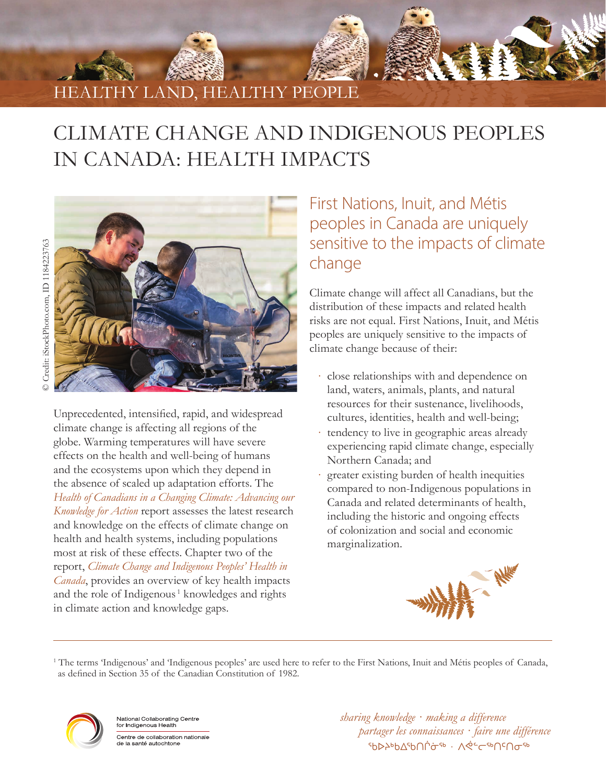

# CLIMATE CHANGE AND INDIGENOUS PEOPLES IN CANADA: HEALTH IMPACTS



Unprecedented, intensified, rapid, and widespread climate change is affecting all regions of the globe. Warming temperatures will have severe effects on the health and well-being of humans and the ecosystems upon which they depend in the absence of scaled up adaptation efforts. The *[Health of Canadians in a Changing Climate: Advancing our](https://changingclimate.ca/health-in-a-changing-climate/)  [Knowledge for Action](https://changingclimate.ca/health-in-a-changing-climate/)* report assesses the latest research and knowledge on the effects of climate change on health and health systems, including populations most at risk of these effects. Chapter two of the report, *[Climate Change and Indigenous Peoples' Health in](http://changingclimate.ca/health-in-a-changing-climate/chapter/2-0/)  [Canada](http://changingclimate.ca/health-in-a-changing-climate/chapter/2-0/)*, provides an overview of key health impacts and the role of Indigenous<sup>1</sup> knowledges and rights in climate action and knowledge gaps.

### First Nations, Inuit, and Métis peoples in Canada are uniquely sensitive to the impacts of climate change

Climate change will affect all Canadians, but the distribution of these impacts and related health risks are not equal. First Nations, Inuit, and Métis peoples are uniquely sensitive to the impacts of climate change because of their:

- ∙ close relationships with and dependence on land, waters, animals, plants, and natural resources for their sustenance, livelihoods, cultures, identities, health and well-being;
- ∙ tendency to live in geographic areas already experiencing rapid climate change, especially Northern Canada; and
- ∙ greater existing burden of health inequities compared to non-Indigenous populations in Canada and related determinants of health, including the historic and ongoing effects of colonization and social and economic marginalization.



<sup>1</sup> The terms 'Indigenous' and 'Indigenous peoples' are used here to refer to the First Nations, Inuit and Métis peoples of Canada, as defined in Section 35 of the Canadian Constitution of 1982.



National Collaborating Centre for Indigenous Health Centre de collaboration nationale de la santé autochtone

*sharing knowledge · making a difference partager les connaissances · faire une différence* ᡃᡋᢂᢣᢀᡋᡌᢠᢀ᠂ᡇᢄ᠆ᢐ᠐ᡕ᠐ᢦᢋᢀ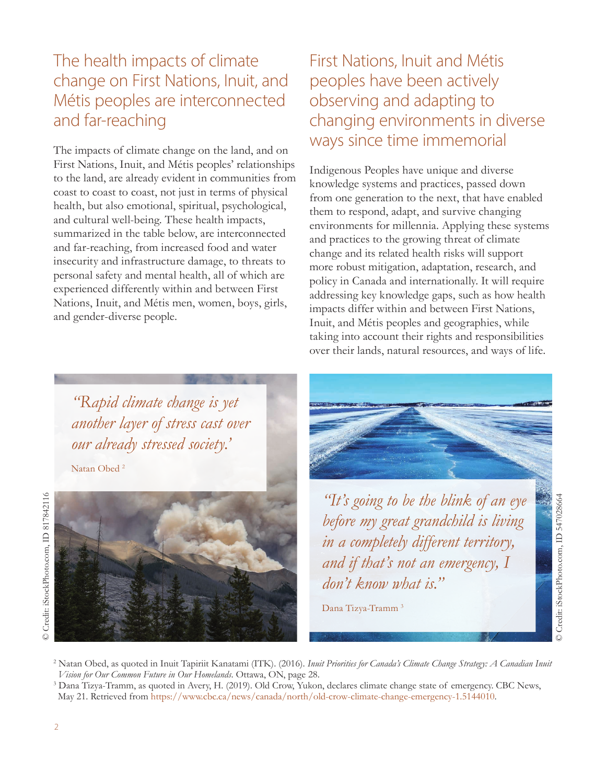# The health impacts of climate change on First Nations, Inuit, and Métis peoples are interconnected and far-reaching

The impacts of climate change on the land, and on First Nations, Inuit, and Métis peoples' relationships to the land, are already evident in communities from coast to coast to coast, not just in terms of physical health, but also emotional, spiritual, psychological, and cultural well-being. These health impacts, summarized in the table below, are interconnected and far-reaching, from increased food and water insecurity and infrastructure damage, to threats to personal safety and mental health, all of which are experienced differently within and between First Nations, Inuit, and Métis men, women, boys, girls, and gender-diverse people.

# First Nations, Inuit and Métis peoples have been actively observing and adapting to changing environments in diverse ways since time immemorial

Indigenous Peoples have unique and diverse knowledge systems and practices, passed down from one generation to the next, that have enabled them to respond, adapt, and survive changing environments for millennia. Applying these systems and practices to the growing threat of climate change and its related health risks will support more robust mitigation, adaptation, research, and policy in Canada and internationally. It will require addressing key knowledge gaps, such as how health impacts differ within and between First Nations, Inuit, and Métis peoples and geographies, while taking into account their rights and responsibilities over their lands, natural resources, and ways of life.

*"Rapid climate change is yet another layer of stress cast over our already stressed society.'* 

Natan Obed 2





*"It's going to be the blink of an eye before my great grandchild is living in a completely different territory, and if that's not an emergency, I don't know what is."* 

Dana Tizya-Tramm 3

<sup>2</sup> Natan Obed, as quoted in Inuit Tapiriit Kanatami (ITK). (2016). *Inuit Priorities for Canada's Climate Change Strategy: A Canadian Inuit Vision for Our Common Future in Our Homelands*. Ottawa, ON, page 28.

3 Dana Tizya-Tramm, as quoted in Avery, H. (2019). Old Crow, Yukon, declares climate change state of emergency. CBC News, May 21. Retrieved from [https://www.cbc.ca/news/canada/north/old-crow-climate-change-emergency-1.5144010.](https://www.cbc.ca/news/canada/north/old-crow-climate-change-emergency-1.5144010)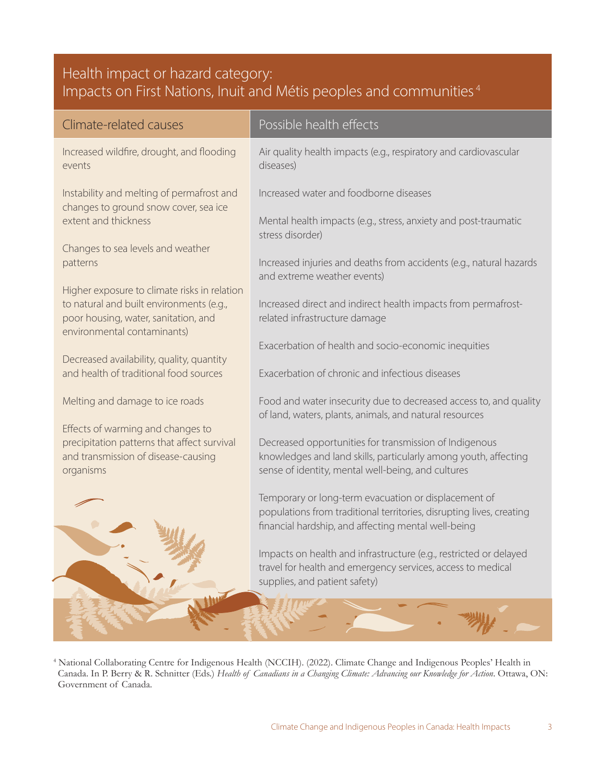#### Health impact or hazard category: Impacts on First Nations, Inuit and Métis peoples and communities <sup>4</sup>

| Climate-related causes                                                                                          | Possible health effects                                                                                                      |
|-----------------------------------------------------------------------------------------------------------------|------------------------------------------------------------------------------------------------------------------------------|
| Increased wildfire, drought, and flooding<br>events                                                             | Air quality health impacts (e.g., respiratory and cardiovascular<br>diseases)                                                |
| Instability and melting of permafrost and<br>changes to ground snow cover, sea ice                              | Increased water and foodborne diseases                                                                                       |
| extent and thickness                                                                                            | Mental health impacts (e.g., stress, anxiety and post-traumatic<br>stress disorder)                                          |
| Changes to sea levels and weather                                                                               |                                                                                                                              |
| patterns                                                                                                        | Increased injuries and deaths from accidents (e.g., natural hazards<br>and extreme weather events)                           |
| Higher exposure to climate risks in relation                                                                    |                                                                                                                              |
| to natural and built environments (e.g.,<br>poor housing, water, sanitation, and<br>environmental contaminants) | Increased direct and indirect health impacts from permafrost-<br>related infrastructure damage                               |
|                                                                                                                 | Exacerbation of health and socio-economic inequities                                                                         |
| Decreased availability, quality, quantity<br>and health of traditional food sources                             | Exacerbation of chronic and infectious diseases                                                                              |
| Melting and damage to ice roads                                                                                 | Food and water insecurity due to decreased access to, and quality<br>of land, waters, plants, animals, and natural resources |
| Effects of warming and changes to                                                                               |                                                                                                                              |
| precipitation patterns that affect survival                                                                     | Decreased opportunities for transmission of Indigenous                                                                       |
| and transmission of disease-causing<br>organisms                                                                | knowledges and land skills, particularly among youth, affecting<br>sense of identity, mental well-being, and cultures        |
|                                                                                                                 | Temporary or long-term evacuation or displacement of                                                                         |
|                                                                                                                 | populations from traditional territories, disrupting lives, creating                                                         |
|                                                                                                                 | financial hardship, and affecting mental well-being                                                                          |
|                                                                                                                 | Impacts on health and infrastructure (e.g., restricted or delayed                                                            |
|                                                                                                                 | travel for health and emergency services, access to medical                                                                  |
|                                                                                                                 | supplies, and patient safety)                                                                                                |
|                                                                                                                 |                                                                                                                              |
|                                                                                                                 |                                                                                                                              |

4 National Collaborating Centre for Indigenous Health (NCCIH). (2022). Climate Change and Indigenous Peoples' Health in Canada. In P. Berry & R. Schnitter (Eds.) *Health of Canadians in a Changing Climate: Advancing our Knowledge for Action*. Ottawa, ON: Government of Canada.